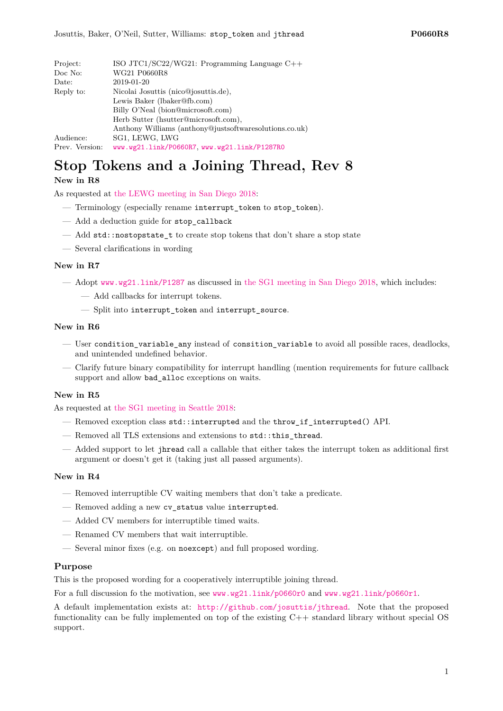| Project:       | ISO JTC1/SC22/WG21: Programming Language $C++$                            |  |  |
|----------------|---------------------------------------------------------------------------|--|--|
| Doc No:        | WG21 P0660R8                                                              |  |  |
| Date:          | 2019-01-20                                                                |  |  |
| Reply to:      | Nicolai Josuttis (nico@josuttis.de),                                      |  |  |
|                | Lewis Baker (lbaker@fb.com)                                               |  |  |
|                | Billy O'Neal (bion@microsoft.com)<br>Herb Sutter (hsutter@microsoft.com), |  |  |
|                |                                                                           |  |  |
|                | Anthony Williams (anthony@justsoftwaresolutions.co.uk)                    |  |  |
| Audience:      | SG1, LEWG, LWG                                                            |  |  |
| Prev. Version: | www.wg21.link/P0660R7.www.wg21.link/P1287R0                               |  |  |

# **Stop Tokens and a Joining Thread, Rev 8**

### **New in R8**

As requested at [the LEWG meeting in San Diego 2018:](http://wiki.edg.com/bin/view/Wg21sandiego2018/P0660)

- Terminology (especially rename interrupt\_token to stop\_token).
- Add a deduction guide for stop\_callback
- Add std::nostopstate t to create stop tokens that don't share a stop state
- Several clarifications in wording

### **New in R7**

- Adopt <www.wg21.link/P1287> as discussed in [the SG1 meeting in San Diego 2018,](http://wiki.edg.com/bin/view/Wg21sandiego2018/P1287R0) which includes:
	- Add callbacks for interrupt tokens.
	- Split into interrupt\_token and interrupt\_source.

### **New in R6**

- User condition\_variable\_any instead of consition\_variable to avoid all possible races, deadlocks, and unintended undefined behavior.
- Clarify future binary compatibility for interrupt handling (mention requirements for future callback support and allow bad\_alloc exceptions on waits.

### **New in R5**

As requested at [the SG1 meeting in Seattle 2018:](http://wiki.edg.com/bin/view/ExecSeattle2018/MinutesDay2)

- Removed exception class std::interrupted and the throw\_if\_interrupted() API.
- Removed all TLS extensions and extensions to std::this\_thread.
- Added support to let jhread call a callable that either takes the interrupt token as additional first argument or doesn't get it (taking just all passed arguments).

### **New in R4**

- Removed interruptible CV waiting members that don't take a predicate.
- Removed adding a new cv\_status value interrupted.
- Added CV members for interruptible timed waits.
- Renamed CV members that wait interruptible.
- Several minor fixes (e.g. on noexcept) and full proposed wording.

### **Purpose**

This is the proposed wording for a cooperatively interruptible joining thread.

For a full discussion fo the motivation, see <www.wg21.link/p0660r0> and <www.wg21.link/p0660r1>.

A default implementation exists at: <http://github.com/josuttis/jthread>. Note that the proposed functionality can be fully implemented on top of the existing C++ standard library without special OS support.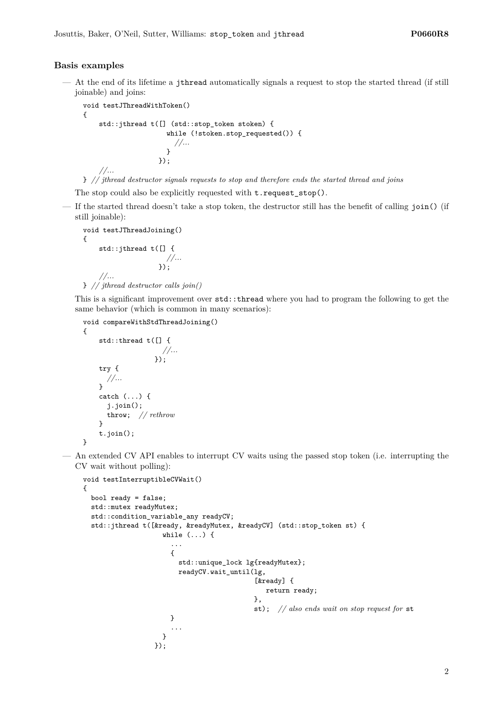### **Basis examples**

— At the end of its lifetime a jthread automatically signals a request to stop the started thread (if still joinable) and joins:

```
void testJThreadWithToken()
{
    std::jthread t([] (std::stop_token stoken) {
                     while (!stoken.stop_requested()) {
                       //...
                     }
                   });
    //...
```
} *// jthread destructor signals requests to stop and therefore ends the started thread and joins*

The stop could also be explicitly requested with  $t$ . request\_stop().

— If the started thread doesn't take a stop token, the destructor still has the benefit of calling join() (if still joinable):

```
void testJThreadJoining()
{
    std::jthread t([] {
                        //...
                      });
    //...
} // jthread destructor calls join()
```
This is a significant improvement over std::thread where you had to program the following to get the same behavior (which is common in many scenarios):

```
void compareWithStdThreadJoining()
{
    std::thread t([] {
                      //...
                    });
    try {
      //...
    }
    catch (...) {
      j.join();
      throw; // rethrow
    }
    t.join();
}
```
— An extended CV API enables to interrupt CV waits using the passed stop token (i.e. interrupting the CV wait without polling):

```
void testInterruptibleCVWait()
{
  bool ready = false;
  std::mutex readyMutex;
  std::condition_variable_any readyCV;
  std::jthread t([&ready, &readyMutex, &readyCV] (std::stop_token st) {
                     while ( \ldots ) {
                       ...
                       {
                         std::unique_lock lg{readyMutex};
                         readyCV.wait_until(lg,
                                              [&ready] {
                                                 return ready;
                                             },
                                             st); // also ends wait on stop request for st
                       }
                       ...
                     }
                   });
```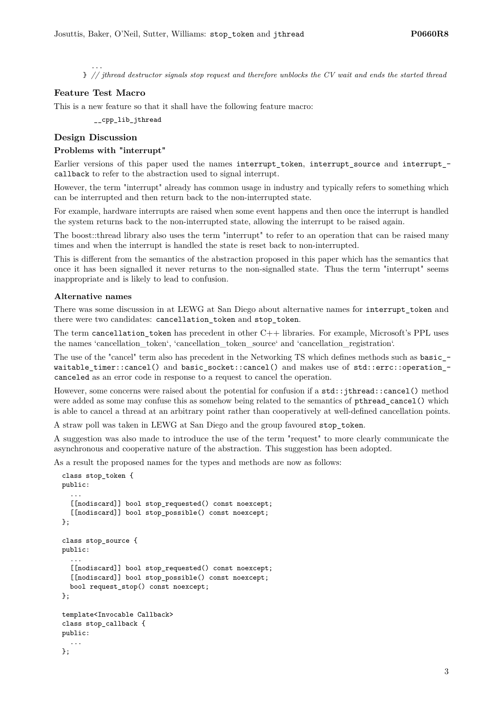... } *// jthread destructor signals stop request and therefore unblocks the CV wait and ends the started thread*

### **Feature Test Macro**

This is a new feature so that it shall have the following feature macro:

\_\_cpp\_lib\_jthread

### **Design Discussion**

### **Problems with "interrupt"**

Earlier versions of this paper used the names interrupt token, interrupt source and interrupt callback to refer to the abstraction used to signal interrupt.

However, the term "interrupt" already has common usage in industry and typically refers to something which can be interrupted and then return back to the non-interrupted state.

For example, hardware interrupts are raised when some event happens and then once the interrupt is handled the system returns back to the non-interrupted state, allowing the interrupt to be raised again.

The boost::thread library also uses the term "interrupt" to refer to an operation that can be raised many times and when the interrupt is handled the state is reset back to non-interrupted.

This is different from the semantics of the abstraction proposed in this paper which has the semantics that once it has been signalled it never returns to the non-signalled state. Thus the term "interrupt" seems inappropriate and is likely to lead to confusion.

### **Alternative names**

There was some discussion in at LEWG at San Diego about alternative names for interrupt\_token and there were two candidates: cancellation token and stop token.

The term cancellation\_token has precedent in other C++ libraries. For example, Microsoft's PPL uses the names 'cancellation\_token', 'cancellation\_token\_source' and 'cancellation\_registration'.

The use of the "cancel" term also has precedent in the Networking TS which defines methods such as basic waitable timer::cancel() and basic socket::cancel() and makes use of std::errc::operation canceled as an error code in response to a request to cancel the operation.

However, some concerns were raised about the potential for confusion if a std::jthread::cancel() method were added as some may confuse this as somehow being related to the semantics of pthread\_cancel() which is able to cancel a thread at an arbitrary point rather than cooperatively at well-defined cancellation points.

A straw poll was taken in LEWG at San Diego and the group favoured stop\_token.

A suggestion was also made to introduce the use of the term "request" to more clearly communicate the asynchronous and cooperative nature of the abstraction. This suggestion has been adopted.

As a result the proposed names for the types and methods are now as follows:

```
class stop_token {
public:
  ...
  [[nodiscard]] bool stop_requested() const noexcept;
  [[nodiscard]] bool stop_possible() const noexcept;
\lambda:
class stop_source {
public:
  ...
  [[nodiscard]] bool stop_requested() const noexcept;
  [[nodiscard]] bool stop_possible() const noexcept;
  bool request_stop() const noexcept;
};
template<Invocable Callback>
class stop_callback {
public:
  ...
\}:
```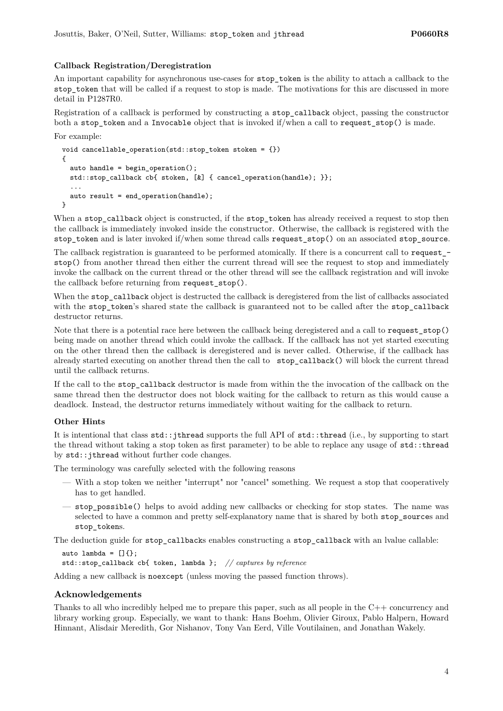### **Callback Registration/Deregistration**

An important capability for asynchronous use-cases for stop\_token is the ability to attach a callback to the stop token that will be called if a request to stop is made. The motivations for this are discussed in more detail in P1287R0.

Registration of a callback is performed by constructing a stop\_callback object, passing the constructor both a stop\_token and a Invocable object that is invoked if/when a call to request\_stop() is made.

For example:

```
void cancellable_operation(std::stop_token stoken = {})
{
  auto handle = begin{bmatrix} . & . \ . & . \ . \end{bmatrix}std::stop_callback cb{ stoken, [&] { cancel_operation(handle); }};
  ...
  auto result = end_operation(handle);
}
```
When a stop callback object is constructed, if the stop token has already received a request to stop then the callback is immediately invoked inside the constructor. Otherwise, the callback is registered with the stop token and is later invoked if/when some thread calls request stop() on an associated stop source.

The callback registration is guaranteed to be performed atomically. If there is a concurrent call to request\_ stop() from another thread then either the current thread will see the request to stop and immediately invoke the callback on the current thread or the other thread will see the callback registration and will invoke the callback before returning from request\_stop().

When the stop callback object is destructed the callback is deregistered from the list of callbacks associated with the stop\_token's shared state the callback is guaranteed not to be called after the stop\_callback destructor returns.

Note that there is a potential race here between the callback being deregistered and a call to request\_stop() being made on another thread which could invoke the callback. If the callback has not yet started executing on the other thread then the callback is deregistered and is never called. Otherwise, if the callback has already started executing on another thread then the call to stop\_callback() will block the current thread until the callback returns.

If the call to the stop\_callback destructor is made from within the the invocation of the callback on the same thread then the destructor does not block waiting for the callback to return as this would cause a deadlock. Instead, the destructor returns immediately without waiting for the callback to return.

### **Other Hints**

It is intentional that class  $\text{std}$ ::jthread supports the full API of  $\text{std}$ ::thread (i.e., by supporting to start the thread without taking a stop token as first parameter) to be able to replace any usage of std::thread by std::jthread without further code changes.

The terminology was carefully selected with the following reasons

- With a stop token we neither "interrupt" nor "cancel" something. We request a stop that cooperatively has to get handled.
- stop\_possible() helps to avoid adding new callbacks or checking for stop states. The name was selected to have a common and pretty self-explanatory name that is shared by both stop sources and stop\_tokens.

The deduction guide for stop\_callbacks enables constructing a stop\_callback with an lvalue callable:

auto lambda =  $[]$ {};

std::stop\_callback cb{ token, lambda }; *// captures by reference*

Adding a new callback is noexcept (unless moving the passed function throws).

### **Acknowledgements**

Thanks to all who incredibly helped me to prepare this paper, such as all people in the C++ concurrency and library working group. Especially, we want to thank: Hans Boehm, Olivier Giroux, Pablo Halpern, Howard Hinnant, Alisdair Meredith, Gor Nishanov, Tony Van Eerd, Ville Voutilainen, and Jonathan Wakely.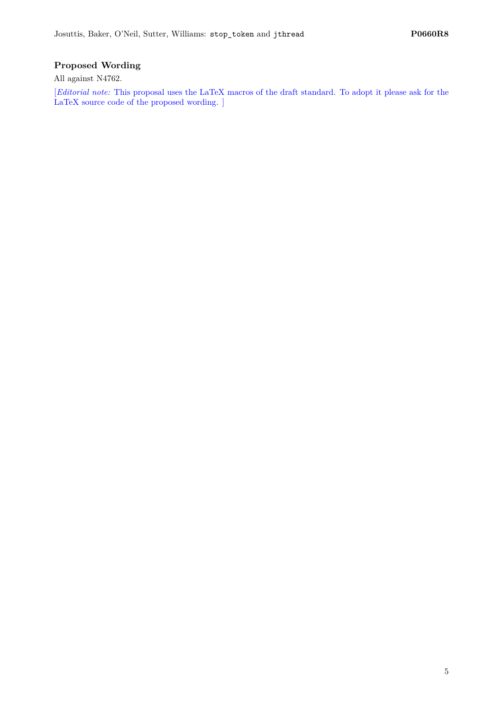## **Proposed Wording**

All against N4762.

[*Editorial note:* This proposal uses the LaTeX macros of the draft standard. To adopt it please ask for the LaTeX source code of the proposed wording. ]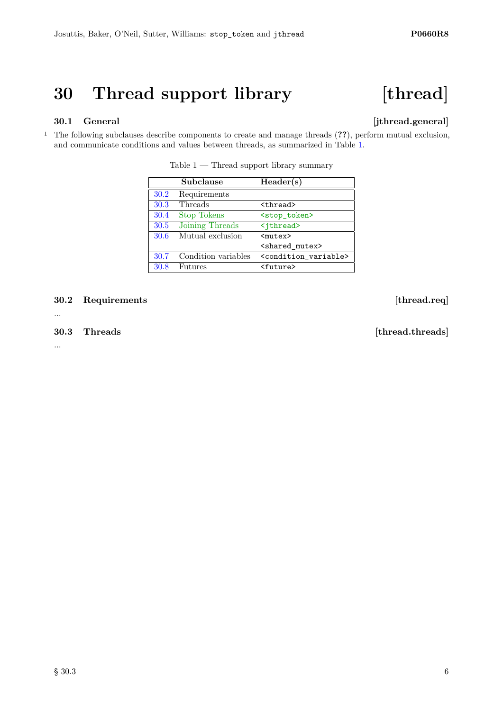# **30 Thread support library [thread]**

# **30.1 General [jthread.general]**

<sup>1</sup> The following subclauses describe components to create and manage threads (**??**), perform mutual exclusion, and communicate conditions and values between threads, as summarized in Table [1.](#page-5-0)

|      | Subclause           | Header(s)                                 |
|------|---------------------|-------------------------------------------|
| 30.2 | Requirements        |                                           |
| 30.3 | Threads             | <thread></thread>                         |
| 30.4 | <b>Stop Tokens</b>  | <stop_token></stop_token>                 |
| 30.5 | Joining Threads     | <jthread></jthread>                       |
| 30.6 | Mutual exclusion    | $mutex$                                   |
|      |                     | <shared mutex=""></shared>                |
| 30.7 | Condition variables | <condition_variable></condition_variable> |
| 30.8 | Futures             | <future></future>                         |

<span id="page-5-0"></span>Table  $1$  — Thread support library summary

<span id="page-5-1"></span>**30.2 Requirements [thread.req]**

...

...

<span id="page-5-2"></span>**30.3 Threads [thread.threads]**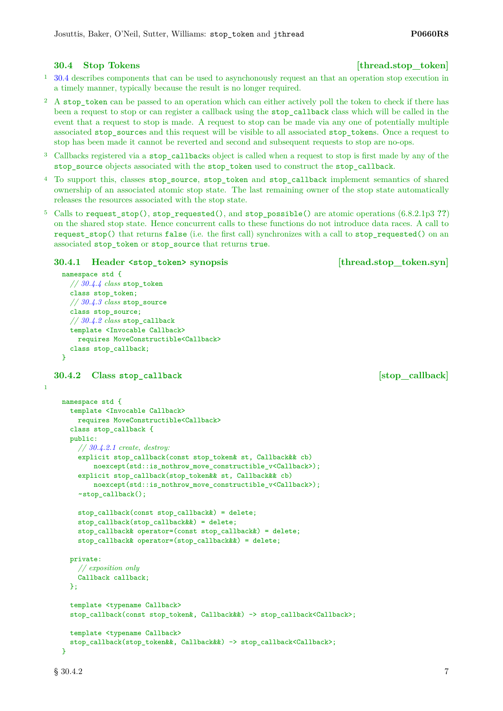### <span id="page-6-0"></span>**30.4 Stop Tokens** [thread.stop\_token]

### <sup>1</sup> [30.4](#page-6-0) describes components that can be used to asynchonously request an that an operation stop execution in a timely manner, typically because the result is no longer required.

- <sup>2</sup> A stop token can be passed to an operation which can either actively poll the token to check if there has been a request to stop or can register a callback using the stop\_callback class which will be called in the event that a request to stop is made. A request to stop can be made via any one of potentially multiple associated stop\_sources and this request will be visible to all associated stop\_tokens. Once a request to stop has been made it cannot be reverted and second and subsequent requests to stop are no-ops.
- <sup>3</sup> Callbacks registered via a stop\_callbacks object is called when a request to stop is first made by any of the stop\_source objects associated with the stop\_token used to construct the stop\_callback.
- <sup>4</sup> To support this, classes stop\_source, stop\_token and stop\_callback implement semantics of shared ownership of an associated atomic stop state. The last remaining owner of the stop state automatically releases the resources associated with the stop state.
- <sup>5</sup> Calls to request\_stop(), stop\_requested(), and stop\_possible() are atomic operations (6.8.2.1p3 **??**) on the shared stop state. Hence concurrent calls to these functions do not introduce data races. A call to request\_stop() that returns false (i.e. the first call) synchronizes with a call to stop\_requested() on an associated stop\_token or stop\_source that returns true.

### **30.4.1 Header <stop\_token> synopsis [thread.stop\_token.syn]**

```
namespace std {
  // 30.4.4 class stop_token
  class stop_token;
  // 30.4.3 class stop_source
 class stop_source;
  // 30.4.2 class stop_callback
 template <Invocable Callback>
    requires MoveConstructible<Callback>
  class stop_callback;
}
```
### <span id="page-6-1"></span>**30.4.2 Class stop\_callback [stop\_callback]**

1

```
namespace std {
  template <Invocable Callback>
    requires MoveConstructible<Callback>
  class stop_callback {
 public:
    // 30.4.2.1 create, destroy:
    explicit stop_callback(const stop_token& st, Callback&& cb)
        noexcept(std::is_nothrow_move_constructible_v<Callback>);
    explicit stop_callback(stop_token&& st, Callback&& cb)
        noexcept(std::is_nothrow_move_constructible_v<Callback>);
    ~stop_callback();
    stop_callback(const stop_callback&) = delete;
    stop_callback(stop_callback&&) = delete;
    stop_callback& operator=(const stop_callback&) = delete;
    stop_callback& operator=(stop_callback&&) = delete;
  private:
    // exposition only
    Callback callback;
 \lambda:
  template <typename Callback>
  stop_callback(const stop_token&, Callback&&) -> stop_callback<Callback>;
  template <typename Callback>
  stop_callback(stop_token&&, Callback&&) -> stop_callback<Callback>;
}
```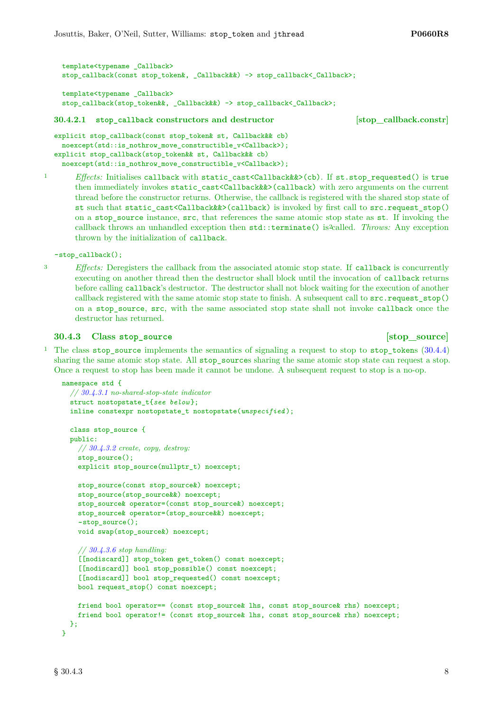```
template<typename _Callback>
 stop_callback(const stop_token&, _Callback&&) -> stop_callback< Callback>;
 template<typename _Callback>
 stop_callback(stop_token&&, _Callback&&) -> stop_callback<_Callback>;
30.4.2.1 stop_callback constructors and destructor [stop_callback.constr]
explicit stop_callback(const stop_token& st, Callback&& cb)
```

```
noexcept(std::is_nothrow_move_constructible_v<Callback>);
explicit stop callback(stop token&& st, Callback&& cb)
 noexcept(std::is_nothrow_move_constructible_v<Callback>);
```
<sup>1</sup> *Effects:* Initialises callback with static\_cast<Callback&&>(cb). If st.stop\_requested() is true then immediately invokes static\_cast<Callback&&>(callback) with zero arguments on the current thread before the constructor returns. Otherwise, the callback is registered with the shared stop state of st such that static\_cast<Callback&&>(callback) is invoked by first call to src.request\_stop() on a stop\_source instance, src, that references the same atomic stop state as st. If invoking the callback throws an unhandled exception then  $std:$ : terminate() is called. *Throws:* Any exception thrown by the initialization of callback.

~stop\_callback();

- 
- <sup>3</sup> *Effects:* Deregisters the callback from the associated atomic stop state. If callback is concurrently executing on another thread then the destructor shall block until the invocation of callback returns before calling callback's destructor. The destructor shall not block waiting for the execution of another callback registered with the same atomic stop state to finish. A subsequent call to src.request\_stop() on a stop\_source, src, with the same associated stop state shall not invoke callback once the destructor has returned.

### <span id="page-7-0"></span>**30.4.3** Class stop source **but a state of stop-source [stop\_source]**

<sup>1</sup> The class stop\_source implements the semantics of signaling a request to stop to stop\_tokens [\(30.4.4\)](#page-9-0) sharing the same atomic stop state. All stop sources sharing the same atomic stop state can request a stop. Once a request to stop has been made it cannot be undone. A subsequent request to stop is a no-op.

```
namespace std {
  // 30.4.3.1 no-shared-stop-state indicator
  struct nostopstate_t{see below };
  inline constexpr nostopstate_t nostopstate(unspecified );
  class stop_source {
  public:
    // 30.4.3.2 create, copy, destroy:
    stop_source();
    explicit stop_source(nullptr_t) noexcept;
    stop_source(const stop_source&) noexcept;
    stop_source(stop_source&&) noexcept;
    stop_source& operator=(const stop_source&) noexcept;
    stop_source& operator=(stop_source&&) noexcept;
    ~stop_source();
    void swap(stop_source&) noexcept;
    // 30.4.3.6 stop handling:
    [[nodiscard]] stop_token get_token() const noexcept;
    [[nodiscard]] bool stop_possible() const noexcept;
    [[nodiscard]] bool stop_requested() const noexcept;
    bool request_stop() const noexcept;
    friend bool operator== (const stop_source& lhs, const stop_source& rhs) noexcept;
    friend bool operator!= (const stop_source& lhs, const stop_source& rhs) noexcept;
  \lambda:
}
```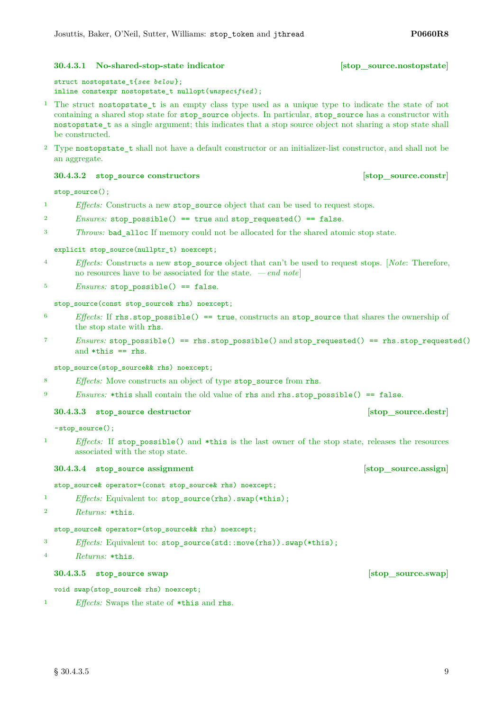### <span id="page-8-0"></span>**30.4.3.1 No-shared-stop-state indicator [stop\_source.nostopstate]**

struct nostopstate\_t{*see below* }; inline constexpr nostopstate\_t nullopt(*unspecified* );

- <sup>1</sup> The struct nostopstate\_t is an empty class type used as a unique type to indicate the state of not containing a shared stop state for stop\_source objects. In particular, stop\_source has a constructor with nostopstate\_t as a single argument; this indicates that a stop source object not sharing a stop state shall be constructed.
- <sup>2</sup> Type nostopstate\_t shall not have a default constructor or an initializer-list constructor, and shall not be an aggregate.

### <span id="page-8-1"></span>**30.4.3.2 stop\_source constructors [stop\_source.constr]**

stop\_source();

- <sup>1</sup> *Effects:* Constructs a new stop\_source object that can be used to request stops.
- $2$  *Ensures:* stop possible() == true and stop requested() == false.
- <sup>3</sup> *Throws:* bad\_alloc If memory could not be allocated for the shared atomic stop state.

### explicit stop\_source(nullptr\_t) noexcept;

- <sup>4</sup> *Effects:* Constructs a new stop\_source object that can't be used to request stops. [*Note*: Therefore, no resources have to be associated for the state. *— end note*]
- 5 *Ensures:* stop possible() == false.

### stop\_source(const\_stop\_source&\_rhs) noexcept;

- <sup>6</sup> *Effects:* If rhs.stop\_possible() == true, constructs an stop\_source that shares the ownership of the stop state with rhs.
- <sup>7</sup> *Ensures:* stop\_possible() == rhs.stop\_possible() and stop\_requested() == rhs.stop\_requested() and  $*$ this  $==$  rhs.

stop\_source(stop\_source&& rhs) noexcept;

- <sup>8</sup> *Effects:* Move constructs an object of type stop source from rhs.
- <sup>9</sup> *Ensures:* \*this shall contain the old value of rhs and rhs.stop\_possible() == false.

### **30.4.3.3 stop** source destructor **but in the source.destready in the source.destready in the source.destready in the source.destready in the source.destready in the source.destready in the source.destready in the source**

~stop\_source();

<sup>1</sup> *Effects:* If stop\_possible() and \*this is the last owner of the stop state, releases the resources associated with the stop state.

### **30.4.3.4 stop** source assignment **assignment assignment assignment assignment assignment**

stop\_source& operator=(const stop\_source& rhs) noexcept;

<sup>1</sup> *Effects:* Equivalent to: stop\_source(rhs).swap(\*this);

```
2 Returns: *this.
```
### stop\_source& operator=(stop\_source&& rhs) noexcept;

- <sup>3</sup> *Effects:* Equivalent to: stop\_source(std::move(rhs)).swap(\*this);
- <sup>4</sup> *Returns:* \*this.

### **30.4.3.5 stop\_source swap [stop\_source.swap]**

void swap(stop\_source& rhs) noexcept;

<sup>1</sup> *Effects:* Swaps the state of \*this and rhs.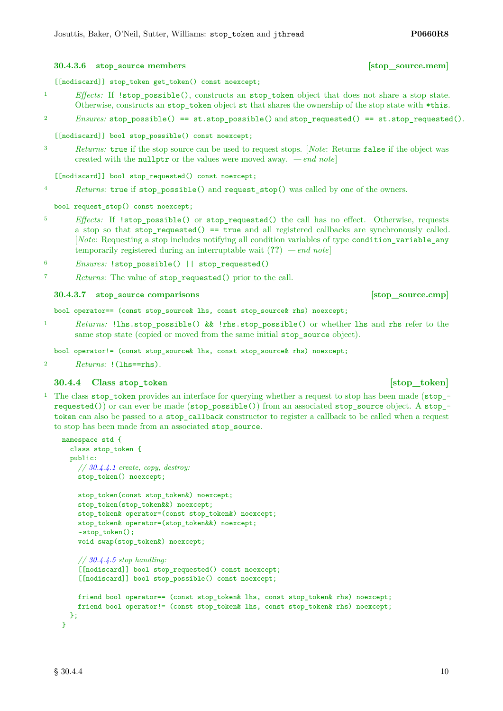### $\S 30.4.4$  10

[[nodiscard]] stop\_token get\_token() const noexcept;

- <sup>1</sup> *Effects:* If  $!\text{stop\_possible}()$ , constructs an stop\_token object that does not share a stop state. Otherwise, constructs an stop\_token object st that shares the ownership of the stop state with \*this.
- <sup>2</sup> *Ensures:* stop\_possible() == st.stop\_possible() and stop\_requested() == st.stop\_requested().

[[nodiscard]] bool stop\_possible() const noexcept;

<sup>3</sup> *Returns:* true if the stop source can be used to request stops. [*Note*: Returns false if the object was created with the nullptr or the values were moved away. *— end note*]

[[nodiscard]] bool stop\_requested() const noexcept;

<sup>4</sup> *Returns:* true if stop\_possible() and request\_stop() was called by one of the owners.

bool request\_stop() const noexcept;

- <sup>5</sup> *Effects:* If !stop possible() or stop requested() the call has no effect. Otherwise, requests a stop so that stop requested() == true and all registered callbacks are synchronously called. [*Note*: Requesting a stop includes notifying all condition variables of type condition\_variable\_any temporarily registered during an interruptable wait (**??**) *— end note*]
- <sup>6</sup> *Ensures:* !stop\_possible() || stop\_requested()
- <sup>7</sup> *Returns:* The value of stop\_requested() prior to the call.

**30.4.3.7 stop\_source comparisons [stop\_source.cmp]**

bool operator== (const stop\_source& lhs, const stop\_source& rhs) noexcept;

<sup>1</sup> *Returns:* !lhs.stop\_possible() && !rhs.stop\_possible() or whether lhs and rhs refer to the same stop state (copied or moved from the same initial stop\_source object).

bool operator!= (const stop\_source& lhs, const stop\_source& rhs) noexcept;

<sup>2</sup> *Returns:* !(lhs==rhs).

### <span id="page-9-0"></span>**30.4.4** Class stop token **bluesses [stop\_token]**

<sup>1</sup> The class stop\_token provides an interface for querying whether a request to stop has been made (stop\_ requested()) or can ever be made (stop\_possible()) from an associated stop\_source object. A stop\_ token can also be passed to a stop\_callback constructor to register a callback to be called when a request to stop has been made from an associated stop\_source.

```
namespace std {
  class stop_token {
 public:
    // 30.4.4.1 create, copy, destroy:
    stop_token() noexcept;
    stop token(const stop token&) noexcept;
    stop_token(stop_token&&) noexcept;
    stop_token& operator=(const stop_token&) noexcept;
    stop_token& operator=(stop_token&&) noexcept;
    ~stop_token();
    void swap(stop_token&) noexcept;
    // 30.4.4.5 stop handling:
    [[nodiscard]] bool stop_requested() const noexcept;
    [[nodiscard]] bool stop_possible() const noexcept;
    friend bool operator== (const stop_token& lhs, const stop_token& rhs) noexcept;
    friend bool operator!= (const stop_token& lhs, const stop_token& rhs) noexcept;
  };
}
```
<span id="page-9-1"></span>**30.4.3.6 stop\_source members [stop\_source.mem]**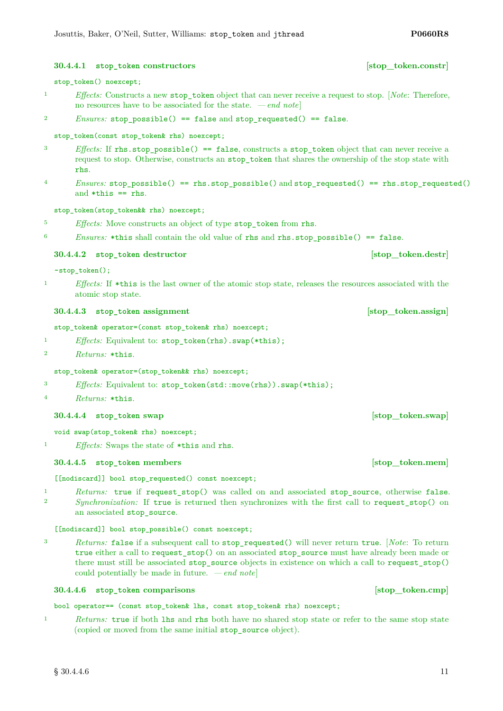### $\S 30.4.4.6$  11

### <span id="page-10-0"></span>**30.4.4.1 stop\_token constructors [stop\_token.constr]**

### stop\_token() noexcept;

- <sup>1</sup> *Effects:* Constructs a new stop\_token object that can never receive a request to stop. [*Note*: Therefore, no resources have to be associated for the state. *— end note*]
- <sup>2</sup> *Ensures:* stop\_possible() == false and stop\_requested() == false.

stop\_token(const stop\_token& rhs) noexcept;

- <sup>3</sup> *Effects:* If rhs.stop\_possible() == false, constructs a stop\_token object that can never receive a request to stop. Otherwise, constructs an stop\_token that shares the ownership of the stop state with rhs.
- <sup>4</sup> *Ensures:* stop\_possible() == rhs.stop\_possible() and stop\_requested() == rhs.stop\_requested() and  $*$ this  $==$  rhs.

stop\_token(stop\_token&& rhs) noexcept;

- <sup>5</sup> *Effects:* Move constructs an object of type stop\_token from rhs.
- $6$  *Ensures:* \*this shall contain the old value of rhs and rhs.stop possible() == false.

### **30.4.4.2 stop\_token destructor [stop\_token.destr]**

~stop\_token();

<sup>1</sup> *Effects:* If \*this is the last owner of the atomic stop state, releases the resources associated with the atomic stop state.

### **30.4.4.3 stop\_token assignment assignment assignment assignment assignment assignment**

stop\_token& operator=(const stop\_token& rhs) noexcept;

- <sup>1</sup> *Effects:* Equivalent to: stop\_token(rhs).swap(\*this);
- <sup>2</sup> *Returns:* \*this.

### stop\_token& operator=(stop\_token&& rhs) noexcept;

- <sup>3</sup> *Effects:* Equivalent to: stop\_token(std::move(rhs)).swap(\*this);
- <sup>4</sup> *Returns:* \*this.

### **30.4.4.4 stop\_token swap [stop\_token.swap]**

void swap(stop\_token& rhs) noexcept;

<sup>1</sup> *Effects:* Swaps the state of \*this and rhs.

### <span id="page-10-1"></span>**30.4.4.5 stop\_token members [stop\_token.mem]**

[[nodiscard]] bool stop requested() const noexcept;

<sup>1</sup> *Returns:* true if request stop() was called on and associated stop source, otherwise false. <sup>2</sup> *Synchronization:* If true is returned then synchronizes with the first call to request stop() on an associated stop\_source.

### [[nodiscard]] bool stop\_possible() const noexcept;

<sup>3</sup> *Returns:* false if a subsequent call to stop\_requested() will never return true. [*Note*: To return true either a call to request\_stop() on an associated stop\_source must have already been made or there must still be associated stop\_source objects in existence on which a call to request\_stop() could potentially be made in future. *— end note*]

### **30.4.4.6 stop\_token comparisons [stop\_token.cmp]**

bool operator== (const stop\_token& lhs, const stop\_token& rhs) noexcept;

<sup>1</sup> *Returns:* true if both lhs and rhs both have no shared stop state or refer to the same stop state (copied or moved from the same initial stop\_source object).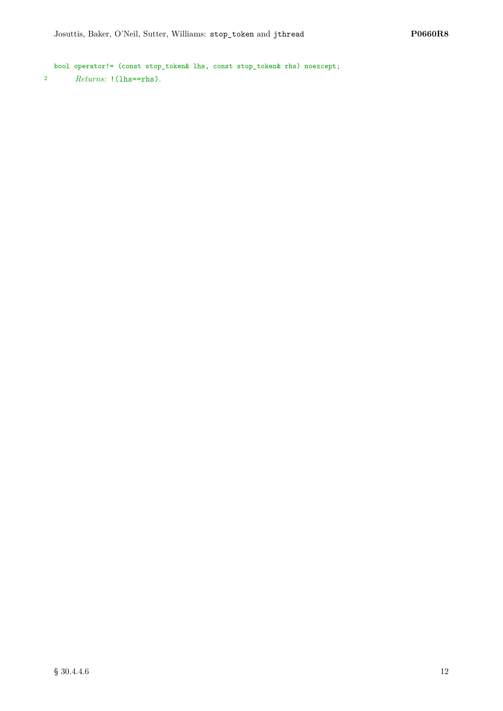bool operator!= (const stop\_token& lhs, const stop\_token& rhs) noexcept; <sup>2</sup> *Returns:* !(lhs==rhs).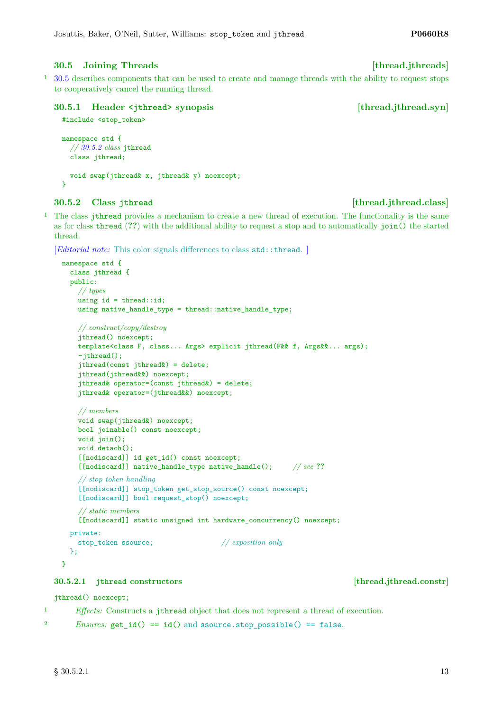### <span id="page-12-0"></span>**30.5 Joining Threads [thread.jthreads]**

<sup>1</sup> [30.5](#page-12-0) describes components that can be used to create and manage threads with the ability to request stops to cooperatively cancel the running thread.

### **30.5.1 Header <jthread> synopsis [thread.jthread.syn]**

```
#include <stop_token>
```

```
namespace std {
  // 30.5.2 class jthread
  class jthread;
  void swap(jthread& x, jthread& y) noexcept;
}
```
### <span id="page-12-1"></span>**30.5.2** Class jthread **b leader in the contract of the contract of the contract of the contract of the contract of the contract of the contract of the contract of the contract of the contract of the contract of the co**

<sup>1</sup> The class jthread provides a mechanism to create a new thread of execution. The functionality is the same as for class thread (**??**) with the additional ability to request a stop and to automatically join() the started thread.

```
[Editorial note: This color signals differences to class std::thread.]
```

```
namespace std {
 class jthread {
 public:
    // types
    using id = thread::id;using native_handle_type = thread::native_handle_type;
    // construct/copy/destroy
    jthread() noexcept;
    template<class F, class... Args> explicit jthread(F&& f, Args&&... args);
    ~jthread();
    jthread(const jthread&) = delete;
    jthread(jthread&&) noexcept;
    jthread& operator=(const jthread&) = delete;
    jthread& operator=(jthread&&) noexcept;
    // members
    void swap(jthread&) noexcept;
    bool joinable() const noexcept;
    void join();
    void detach();
    [[nodiscard]] id get_id() const noexcept;
    [[nodiscard]] native_handle_type native_handle(); // see ??
    // stop token handling
    [[nodiscard]] stop_token get_stop_source() const noexcept;
    [[nodiscard]] bool request_stop() noexcept;
    // static members
    [[nodiscard]] static unsigned int hardware_concurrency() noexcept;
  private:
    stop_token ssource; // exposition only
  };
```
### **30.5.2.1 jthread constructors [thread.jthread.constr]**

### jthread() noexcept;

<sup>1</sup> *Effects:* Constructs a jthread object that does not represent a thread of execution.

```
2 Ensures: get id() == id() and source.stop possible() == false.
```
}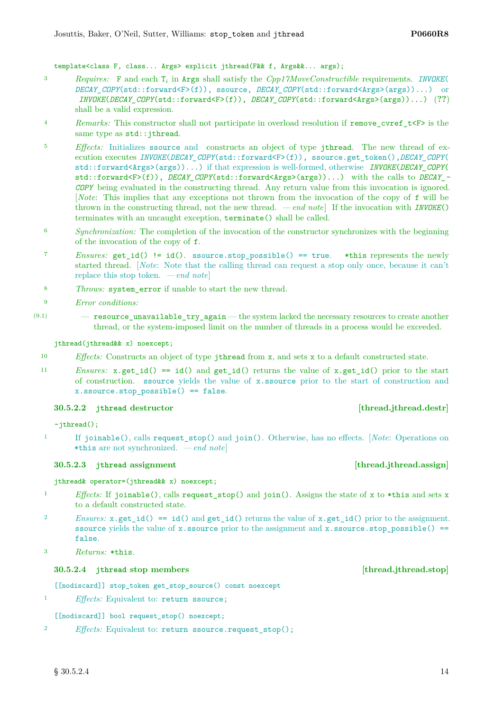template<class F, class... Args> explicit jthread(F&& f, Args&&... args);

- <sup>3</sup> *Requires:* F and each T*<sup>i</sup>* in Args shall satisfy the *Cpp17MoveConstructible* requirements. *INVOKE*( *DECAY\_COPY*(std::forward<F>(f)), ssource, *DECAY\_COPY*(std::forward<Args>(args))...) or *INVOKE*(*DECAY\_COPY*(std::forward<F>(f)), *DECAY\_COPY*(std::forward<Args>(args))...) (**??**) shall be a valid expression.
- <sup>4</sup> *Remarks:* This constructor shall not participate in overload resolution if remove cvref  $t\leq r$  is the same type as  $std::jthread$ .
- <sup>5</sup> *Effects:* Initializes ssource and constructs an object of type jthread. The new thread of execution executes *INVOKE*(*DECAY\_COPY*(std::forward<F>(f)), ssource.get\_token(),*DECAY\_COPY*( std::forward<Args>(args))...) if that expression is well-formed, otherwise *INVOKE*(*DECAY\_COPY*( std::forward<F>(f)), *DECAY\_COPY*(std::forward<Args>(args))...) with the calls to *DECAY\_- COPY* being evaluated in the constructing thread. Any return value from this invocation is ignored. [*Note*: This implies that any exceptions not thrown from the invocation of the copy of f will be thrown in the constructing thread, not the new thread. *— end note*] If the invocation with *INVOKE*() terminates with an uncaught exception, terminate() shall be called.
- <sup>6</sup> *Synchronization:* The completion of the invocation of the constructor synchronizes with the beginning of the invocation of the copy of f.
- <sup>7</sup> *Ensures:* get id() != id(). ssource.stop possible() == true. \*this represents the newly started thread. [*Note*: Note that the calling thread can request a stop only once, because it can't replace this stop token. *— end note*]
- <sup>8</sup> *Throws:* system\_error if unable to start the new thread.
- <sup>9</sup> *Error conditions:*
- $(9.1)$  resource unavailable try again the system lacked the necessary resources to create another thread, or the system-imposed limit on the number of threads in a process would be exceeded.

### jthread(jthread&& x) noexcept;

- <sup>10</sup> *Effects:* Constructs an object of type jthread from x, and sets x to a default constructed state.
- <sup>11</sup> *Ensures:* x.get\_id() == id() and get\_id() returns the value of x.get\_id() prior to the start of construction. ssource yields the value of x.ssource prior to the start of construction and x.ssource.stop\_possible() == false.

### **30.5.2.2 jthread destructor [thread.jthread.destr]**

 $~\sim$ jthread $()$ ;

<sup>1</sup> If joinable(), calls request\_stop() and join(). Otherwise, has no effects. [*Note*: Operations on \*this are not synchronized. *— end note*]

### **30.5.2.3 jthread assignment [thread.jthread.assign]**

### jthread& operator=(jthread&& x) noexcept;

- <sup>1</sup> *Effects:* If joinable(), calls request stop() and join(). Assigns the state of x to \*this and sets x to a default constructed state.
- *Physics:*  $x.get_id() == id()$  and  $get_id()$  returns the value of  $x.get_id()$  prior to the assignment. ssource yields the value of x.ssource prior to the assignment and  $x$ .ssource.stop\_possible() == false.
- <sup>3</sup> *Returns:* \*this.

### **30.5.2.4 jthread stop members [thread.jthread.stop]**

[[nodiscard]] stop\_token get\_stop\_source() const noexcept

<sup>1</sup> *Effects:* Equivalent to: return ssource;

[[nodiscard]] bool request\_stop() noexcept;

<sup>2</sup> *Effects:* Equivalent to: return ssource.request\_stop();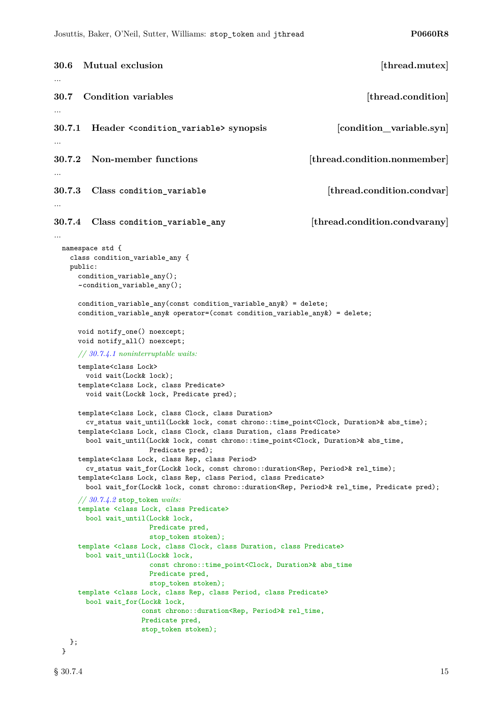```
30.6 Mutual exclusion [thread.mutex]
...
30.7 Condition variables and in the set of the condition \left[ thread.condition
...
30.7.1 Header <condition_variable> synopsis [condition_variable.syn]
...
30.7.2 Non-member functions [thread.condition.nonmember]
...
30.7.3 Class condition_variable [thread.condition.condvar]
...
30.7.4 Class condition_variable_any [thread.condition.condvarany]
...
 namespace std {
   class condition_variable_any {
   public:
     condition_variable_any();
     ~condition_variable_any();
     condition_variable_any(const condition_variable_any&) = delete;
     condition_variable_any& operator=(const condition_variable_any&) = delete;
     void notify_one() noexcept;
     void notify_all() noexcept;
     // 30.7.4.1 noninterruptable waits:
     template<class Lock>
       void wait(Lock& lock);
     template<class Lock, class Predicate>
       void wait(Lock& lock, Predicate pred);
     template<class Lock, class Clock, class Duration>
       cv_status wait_until(Lock& lock, const chrono::time_point<Clock, Duration>& abs_time);
     template<class Lock, class Clock, class Duration, class Predicate>
       bool wait_until(Lock& lock, const chrono::time_point<Clock, Duration>& abs_time,
                     Predicate pred);
     template<class Lock, class Rep, class Period>
       cv_status wait_for(Lock& lock, const chrono::duration<Rep, Period>& rel_time);
     template<class Lock, class Rep, class Period, class Predicate>
       bool wait_for(Lock& lock, const chrono::duration<Rep, Period>& rel_time, Predicate pred);
     // 30.7.4.2 stop_token waits:
     template <class Lock, class Predicate>
       bool wait_until(Lock& lock,
                     Predicate pred,
                     stop_token stoken);
     template <class Lock, class Clock, class Duration, class Predicate>
       bool wait_until(Lock& lock,
                     const chrono::time_point<Clock, Duration>& abs_time
                     Predicate pred,
                     stop_token stoken);
     template <class Lock, class Rep, class Period, class Predicate>
       bool wait_for(Lock& lock,
                    const chrono::duration<Rep, Period>& rel_time,
                    Predicate pred,
                    stop_token stoken);
   };
 }
```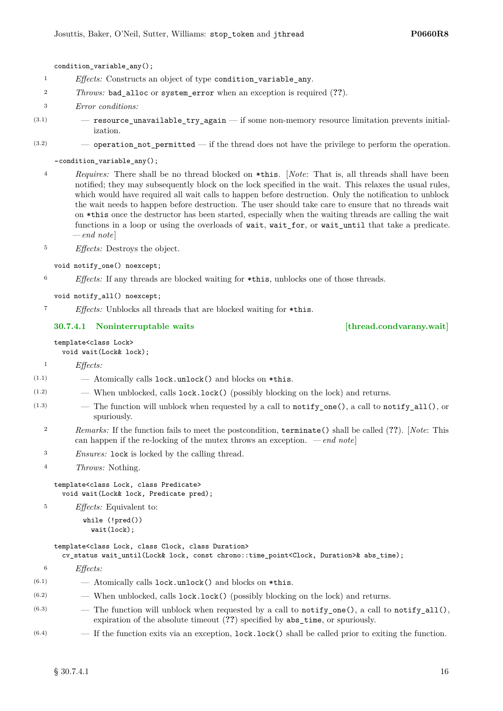condition\_variable\_any();

- <sup>1</sup> *Effects:* Constructs an object of type condition\_variable\_any.
- <sup>2</sup> *Throws:* bad\_alloc or system\_error when an exception is required (**??**).
- <sup>3</sup> *Error conditions:*
- $(3.1)$   $-$  resource\_unavailable\_try\_again  $-$  if some non-memory resource limitation prevents initialization.
- $(3.2)$  operation not permitted if the thread does not have the privilege to perform the operation.

~condition\_variable\_any();

<sup>4</sup> *Requires:* There shall be no thread blocked on \*this. [*Note*: That is, all threads shall have been notified; they may subsequently block on the lock specified in the wait. This relaxes the usual rules, which would have required all wait calls to happen before destruction. Only the notification to unblock the wait needs to happen before destruction. The user should take care to ensure that no threads wait on \*this once the destructor has been started, especially when the waiting threads are calling the wait functions in a loop or using the overloads of wait, wait\_for, or wait\_until that take a predicate. *— end note*]

<sup>5</sup> *Effects:* Destroys the object.

- void notify one() noexcept;
- <sup>6</sup> *Effects:* If any threads are blocked waiting for \*this, unblocks one of those threads.

```
void notify_all() noexcept;
```
<sup>7</sup> *Effects:* Unblocks all threads that are blocked waiting for \*this.

### <span id="page-15-0"></span>**30.7.4.1 Noninterruptable waits [thread.condvarany.wait]**

### template<class Lock> void wait(Lock& lock);

<sup>1</sup> *Effects:*

- $(1.1)$   $-$  Atomically calls lock.unlock() and blocks on \*this.
- (1.2) When unblocked, calls lock.lock() (possibly blocking on the lock) and returns.
- $(1.3)$  The function will unblock when requested by a call to notify\_one(), a call to notify\_all(), or spuriously.
	- <sup>2</sup> *Remarks:* If the function fails to meet the postcondition, terminate() shall be called (**??**). [*Note*: This can happen if the re-locking of the mutex throws an exception.  $\,-\,end\,note$
	- <sup>3</sup> *Ensures:* lock is locked by the calling thread.
	- <sup>4</sup> *Throws:* Nothing.

template<class Lock, class Predicate> void wait(Lock& lock, Predicate pred);

<sup>5</sup> *Effects:* Equivalent to:

while (!pred()) wait(lock);

### template<class Lock, class Clock, class Duration>

cv\_status wait\_until(Lock& lock, const chrono::time\_point<Clock, Duration>& abs\_time);

- <sup>6</sup> *Effects:*
- $(6.1)$  Atomically calls lock.unlock() and blocks on \*this.
- $(6.2)$  When unblocked, calls lock.lock() (possibly blocking on the lock) and returns.
- $(6.3)$  The function will unblock when requested by a call to notify\_one(), a call to notify\_all(), expiration of the absolute timeout (**??**) specified by abs\_time, or spuriously.
- $(6.4)$  If the function exits via an exception, lock.lock() shall be called prior to exiting the function.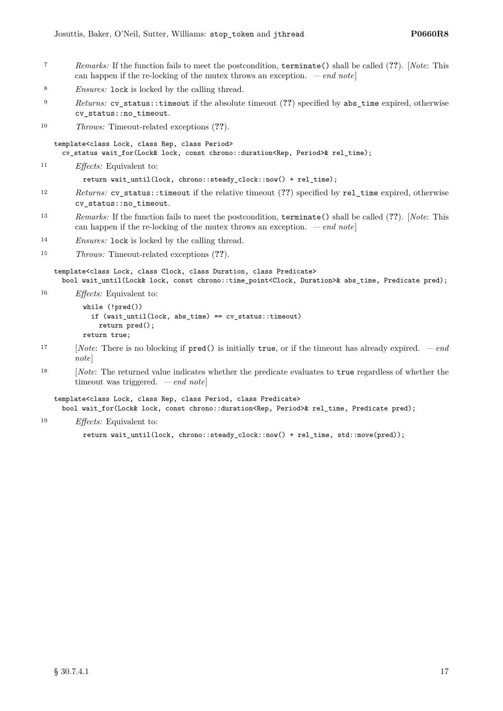- <sup>7</sup> *Remarks:* If the function fails to meet the postcondition, terminate() shall be called (**??**). [*Note*: This can happen if the re-locking of the mutex throws an exception. *— end note*]
- <sup>8</sup> *Ensures:* lock is locked by the calling thread.
- <sup>9</sup> *Returns:* cv\_status::timeout if the absolute timeout (**??**) specified by abs\_time expired, otherwise cv\_status::no\_timeout.
- <sup>10</sup> *Throws:* Timeout-related exceptions (**??**).

template<class Lock, class Rep, class Period> cv\_status wait\_for(Lock& lock, const chrono::duration<Rep, Period>& rel\_time);

<sup>11</sup> *Effects:* Equivalent to:

return wait\_until(lock, chrono::steady\_clock::now() + rel\_time);

- <sup>12</sup> *Returns:* cv\_status::timeout if the relative timeout (**??**) specified by rel\_time expired, otherwise cv\_status::no\_timeout.
- <sup>13</sup> *Remarks:* If the function fails to meet the postcondition, terminate() shall be called (**??**). [*Note*: This can happen if the re-locking of the mutex throws an exception. *— end note*]
- <sup>14</sup> *Ensures:* lock is locked by the calling thread.
- <sup>15</sup> *Throws:* Timeout-related exceptions (**??**).

template<class Lock, class Clock, class Duration, class Predicate> bool wait\_until(Lock& lock, const chrono::time\_point<Clock, Duration>& abs\_time, Predicate pred);

<sup>16</sup> *Effects:* Equivalent to:

```
while (!pred())
  if (wait_until(lock, abs_time) == cv_status::timeout)
    return pred();
return true;
```
- <sup>17</sup> [*Note*: There is no blocking if pred() is initially true, or if the timeout has already expired.  *end note*]
- <sup>18</sup> [*Note*: The returned value indicates whether the predicate evaluates to true regardless of whether the timeout was triggered. *— end note*]

template<class Lock, class Rep, class Period, class Predicate> bool wait\_for(Lock& lock, const chrono::duration<Rep, Period>& rel\_time, Predicate pred);

<sup>19</sup> *Effects:* Equivalent to:

```
return wait_until(lock, chrono::steady_clock::now() + rel_time, std::move(pred));
```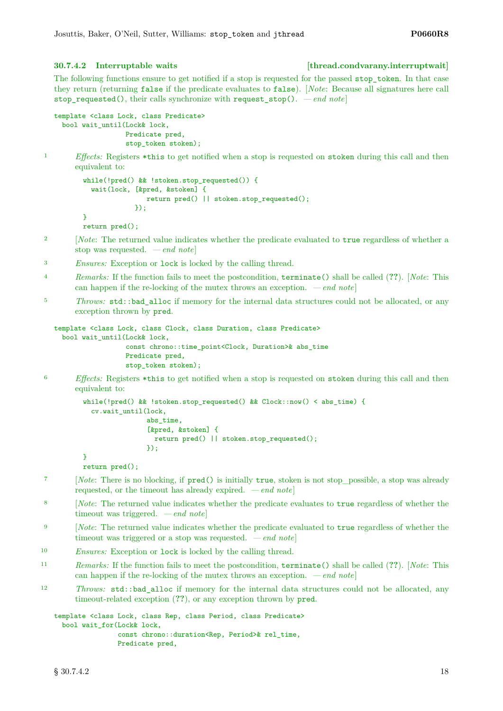### <span id="page-17-0"></span>**30.7.4.2 Interruptable waits [thread.condvarany.interruptwait]**

The following functions ensure to get notified if a stop is requested for the passed stop\_token. In that case they return (returning false if the predicate evaluates to false). [*Note*: Because all signatures here call stop requested(), their calls synchronize with request  $stop()$ .  $-end$  notel

```
template <class Lock, class Predicate>
 bool wait_until(Lock& lock,
                  Predicate pred,
                  stop_token stoken);
```
<sup>1</sup> *Effects:* Registers \*this to get notified when a stop is requested on stoken during this call and then equivalent to:

```
while(!pred() && !stoken.stop_requested()) {
  wait(lock, [&pred, &stoken] {
                return pred() || stoken.stop_requested();
             });
}
return pred();
```
- <sup>2</sup> [*Note*: The returned value indicates whether the predicate evaluated to true regardless of whether a stop was requested. *— end note*]
- <sup>3</sup> *Ensures:* Exception or lock is locked by the calling thread.
- <sup>4</sup> *Remarks:* If the function fails to meet the postcondition, terminate() shall be called (**??**). [*Note*: This can happen if the re-locking of the mutex throws an exception. *— end note*]
- <sup>5</sup> *Throws:* std::bad alloc if memory for the internal data structures could not be allocated, or any exception thrown by pred.

```
template <class Lock, class Clock, class Duration, class Predicate>
 bool wait_until(Lock& lock,
                  const chrono::time_point<Clock, Duration>& abs_time
                  Predicate pred,
                  stop_token stoken);
```
<sup>6</sup> *Effects:* Registers \*this to get notified when a stop is requested on stoken during this call and then equivalent to:

```
while(!pred() && !stoken.stop_requested() && Clock::now() < abs_time) {
  cv.wait_until(lock,
                abs_time,
                [&pred, &stoken] {
                  return pred() || stoken.stop_requested();
                \}):
}
```

```
return pred();
```
- <sup>7</sup> [*Note*: There is no blocking, if pred() is initially true, stoken is not stop possible, a stop was already requested, or the timeout has already expired. *— end note*]
- <sup>8</sup> [*Note*: The returned value indicates whether the predicate evaluates to true regardless of whether the timeout was triggered. *— end note*]
- <sup>9</sup> [*Note*: The returned value indicates whether the predicate evaluated to true regardless of whether the timeout was triggered or a stop was requested. *— end note*]
- <sup>10</sup> *Ensures:* Exception or lock is locked by the calling thread.
- <sup>11</sup> *Remarks:* If the function fails to meet the postcondition, terminate() shall be called (**??**). [*Note*: This can happen if the re-locking of the mutex throws an exception. *— end note*]
- <sup>12</sup> *Throws:* std::bad\_alloc if memory for the internal data structures could not be allocated, any timeout-related exception (**??**), or any exception thrown by pred.

```
template <class Lock, class Rep, class Period, class Predicate>
 bool wait for(Lock& lock,
                const chrono::duration<Rep, Period>& rel_time,
                Predicate pred,
```